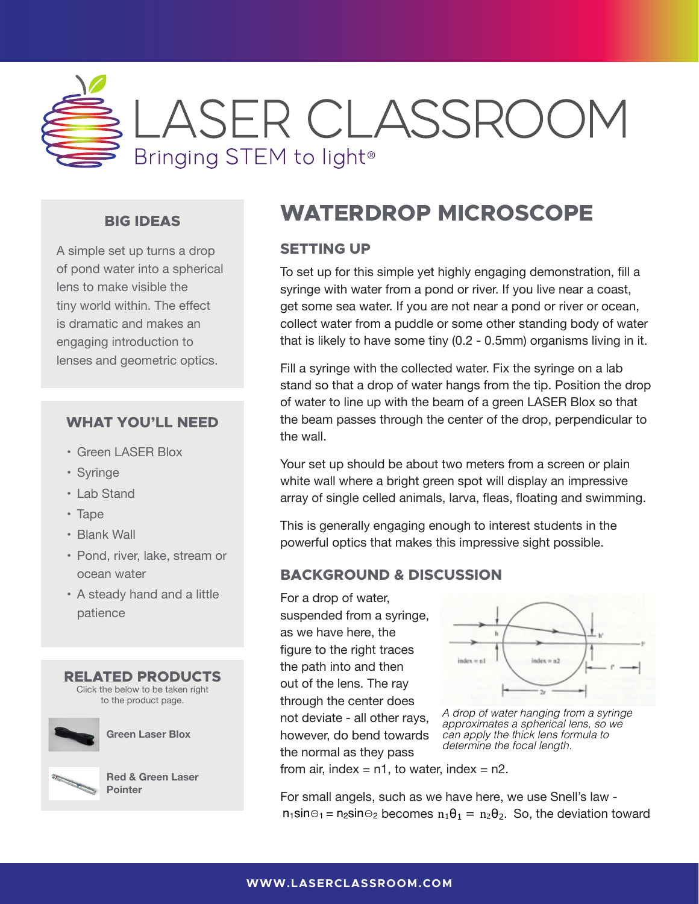

### **BIG IDEAS**

A simple set up turns a drop of pond water into a spherical lens to make visible the tiny world within. The effect is dramatic and makes an engaging introduction to lenses and geometric optics.  $\mathcal{S}$ 

#### **WHAT YOU'LL NEED**

- Green LASER Blox
- Syringe
- Lab Stand
- Tape
- Blank Wall
- Pond, river, lake, stream or ocean water The interest studients interest studients in the powerful optics that makes studients in the powerful optics that makes  $\frac{1}{n}$
- A steady hand and a little patience





**[Green Laser Blox](http://store.laserclassroom.com/green-laser-blox/)**



**[Red & Green Laser](http://store.laserclassroom.com/red-and-green-laser-pointer/)  Pointer**

## **WATERDROP MICROSCOPE**

### **SETTING UP**

To set up for this simple yet highly engaging demonstration, fill a syringe with water from a pond or river. If you live near a coast, get some sea water. If you are not near a pond or river or ocean, collect water from a puddle or some other standing body of water that is likely to have some tiny (0.2 - 0.5mm) organisms living in it.

ics. Fill a syringe with the collected water. Fix the syringe on a lab stand so that a drop of water hangs from the tip. Position the drop of water to line up with the beam of a green LASER Blox so that **EED** the beam passes through the center of the drop, perpendicular to the wall. Water to line water the tip. Position the tip. Position the beam of with the beam of a green with the beam of a green with the beam of a green with the beam of a green with the beam of a green with the beam of a  $\mathbb{R}^n$  syringe with the collected water. Fix the syringe on a lab stand so that a drop of  $\mathbb{R}^n$  stand so that a drop of  $\mathbb{R}^n$  stand so that a drop of  $\mathbb{R}^n$  stand so that a drop of  $\mathbb{R}^n$  stand so th water hangs from the tip. Position the drop of water to line up with the beam of  $\alpha$ 

Your set up should be about two meters from a screen or plain white wall where a bright green spot will display an impressive array of single celled animals, larva, fleas, floating and swimming. Your set up should be about two meters from a screen or plain

This is generally engaging enough to interest students in the powerful optics that makes this impressive sight possible.

#### **BACKGROUND & DISCUSSION**  $BACKORO$ **BACKGROUND & DISCUSSION**

 $H = \frac{H}{R}$  For a drop of water, suspended from a syringe, as we have here, the **Figure to the right traces**  $\frac{3}{2}$  the path into and then out of the lens. The ray index = n1, through the center does not water, index = n2. The ray through the center does not water, in the r<br> $\frac{1}{2}$ not deviate - all other rays, **For small angels** however, do bend towards  $\mathsf{L}$  =  $\mathsf{L}$  the normal as they pass from air, index = n1, to water, index = n2.  $\overline{\text{TS}}$  - and  $\overline{\text{S}}$  - and  $\overline{\text{S}}$  $\frac{r_{\text{light}}}{r_{\text{light}}}$  $\mathsf{CTS}$  and the figure to the figure to the figure to the figure to the figure to the figure to the figure to the figure to the figure to the figure to the figure to the figure to the figure to the figure to the figure deviate - all other rays, however, do bend  $t = 100000$ , as being towards  $t = 1$ a drop of the normal as a loy passe.<br>*A drop of trom air, index = n1, to water, index = n2.* 



**r does**<br>ther rays and *all drop of water hanging from a syringe* finer rays, *college of the manging home a syming*<br>approximates a spherical lens, so we *can apply the thick lens formula to*  if **towards** and *apply the thick lens for* the towards the *determine the focal length*.

For small angels, such as we have here, we use Snell's law  $n_1$ sin⊖<sub>1</sub> = n<sub>2</sub>sin⊖<sub>2</sub> becomes  $n_1\theta_1 = n_2\theta_2$ . So, the deviation toward

example, the deviation as the deviation as the ray passes from the air into our drop (the first surface), is in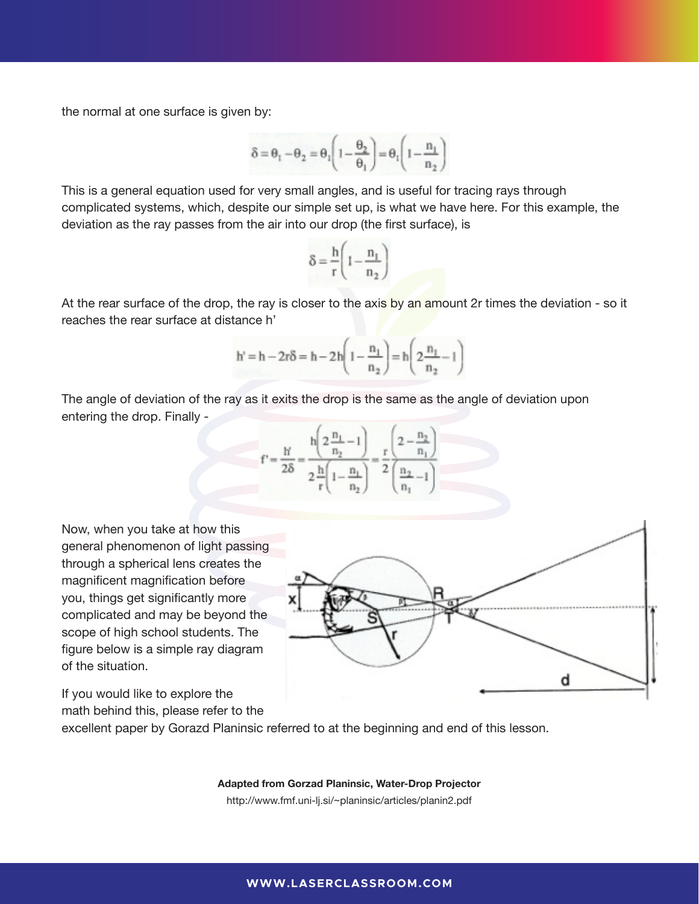the normal at one surface is given by: **becomes not one surface** is given by:

For small angels, such as we have here, we

$$
\delta = \theta_1 - \theta_2 = \theta_1 \Bigg( 1 - \frac{\theta_2}{\theta_1} \Bigg) = \theta_1 \Bigg( 1 - \frac{n_1}{n_2} \Bigg)
$$

*can apply the thick lens formula to* 

*can apply the thick lens formula to* 

This is a general equation used for very small angles, and is useful for tracing rays through complicated systems, which, despite our simple set up, is what we have here. For this example, the deviation as the ray passes from the air into our drop (the first surface), is

$$
\delta = \frac{h}{r} \left( 1 - \frac{n_1}{n_2} \right)
$$

At the rear surface of the drop, the ray is closer to the axis by an amount 2r times the deviation - so it reaches the rear surface at distance h' f the drop, the ray is closer to the  $\varepsilon$ 

$$
h' = h - 2r\delta = h - 2h\left(1 - \frac{n_1}{n_2}\right) = h\left(2\frac{n_1}{n_2} - 1\right)
$$

The angle of deviation of the ray as it exits the drop is the same as the angle of deviation upon entering the drop. Finally -



Now, when you take at how this general phenomenon of light passing the spherical phenomenon of light passing through a spherical phenomenon of light passing through a spherical phenomenon of light passing through a spherical phenomenon of light passing through a spherical lens creates the **Now that how the spherical phenomenon** of light passing through a spherical phenomenon of light passing through a spherical lens creates the complicated and may be beyond the scope of high school students. The figure below is a simple ray diagram of the situation.

If you would like to explore the math behind this, please refer to the

magnificent magnification before you, things get significantly more  $\mathbf{x}$   $\mathbf{x}$   $\mathbf{r}$ d

excellent paper by Gorazd Planinsic referred to at the beginning and end of this lesson.

Planinsic referred to at the beginning and end of this lesson. Planinsic referred to at the beginning and end of this lesson.

#### **Adapted from Gorzad Planinsic, Water-Drop Projector**

http://www.fmf.uni-lj.si/~planinsic/articles/planin2.pdf